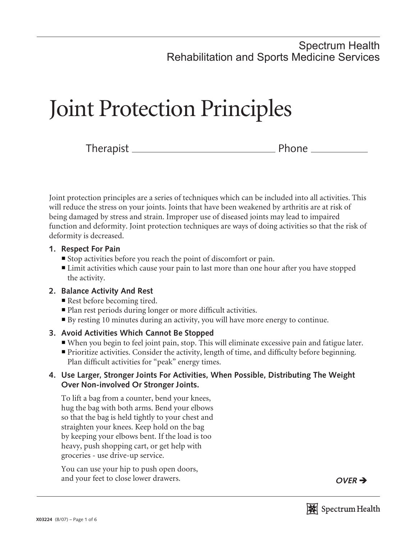## Spectrum Health Rehabilitation and Sports Medicine Services

# Joint Protection Principles

Therapist Phone

Joint protection principles are a series of techniques which can be included into all activities. This will reduce the stress on your joints. Joints that have been weakened by arthritis are at risk of being damaged by stress and strain. Improper use of diseased joints may lead to impaired function and deformity. Joint protection techniques are ways of doing activities so that the risk of deformity is decreased.

## **1. Respect For Pain**

- ¡ Stop activities before you reach the point of discomfort or pain.
- Limit activities which cause your pain to last more than one hour after you have stopped the activity.

## **2. Balance Activity And Rest**

- Rest before becoming tired.
- Plan rest periods during longer or more difficult activities.
- ¡ By resting 10 minutes during an activity, you will have more energy to continue.

## **3. Avoid Activities Which Cannot Be Stopped**

- ¡ When you begin to feel joint pain, stop. This will eliminate excessive pain and fatigue later.
- ¡ Prioritize activities. Consider the activity, length of time, and difficulty before beginning. Plan difficult activities for "peak" energy times.

## **4. Use Larger, Stronger Joints For Activities, When Possible, Distributing The Weight Over Non-involved Or Stronger Joints.**

 To lift a bag from a counter, bend your knees, hug the bag with both arms. Bend your elbows so that the bag is held tightly to your chest and straighten your knees. Keep hold on the bag by keeping your elbows bent. If the load is too heavy, push shopping cart, or get help with groceries - use drive-up service.

 You can use your hip to push open doors, and your feet to close lower drawers. **OVER**  $\rightarrow$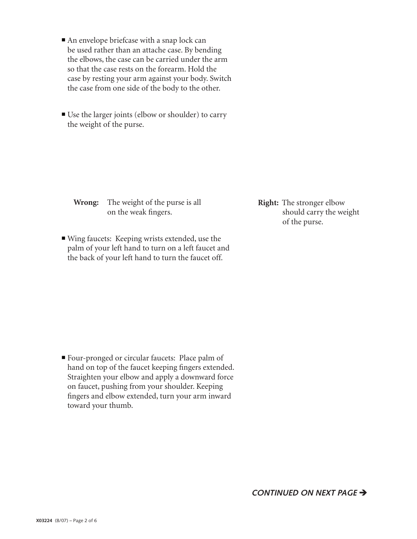- $\blacksquare$  An envelope briefcase with a snap lock can be used rather than an attache case. By bending the elbows, the case can be carried under the arm so that the case rests on the forearm. Hold the case by resting your arm against your body. Switch the case from one side of the body to the other.
- Use the larger joints (elbow or shoulder) to carry the weight of the purse.

 **Wrong:** The weight of the purse is all on the weak fingers.

■ Wing faucets: Keeping wrists extended, use the palm of your left hand to turn on a left faucet and the back of your left hand to turn the faucet off.

**Right:** The stronger elbow should carry the weight of the purse.

■ Four-pronged or circular faucets: Place palm of hand on top of the faucet keeping fingers extended. Straighten your elbow and apply a downward force on faucet, pushing from your shoulder. Keeping fingers and elbow extended, turn your arm inward toward your thumb.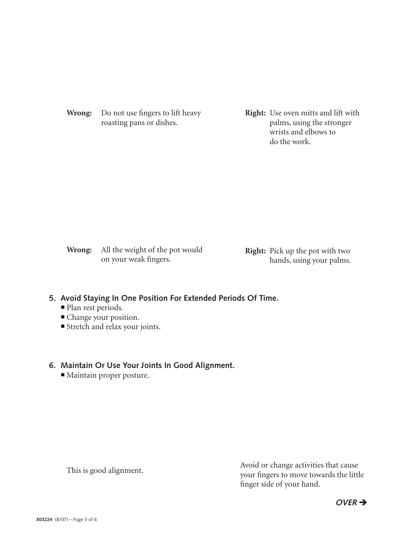**Wrong:** Do not use fingers to lift heavy roasting pans or dishes.

**Right:** Use oven mitts and lift with palms, using the stronger wrists and elbows to do the work.

 **Wrong:** All the weight of the pot would on your weak fingers.

**Right:** Pick up the pot with two hands, using your palms.

#### **5. Avoid Staying In One Position For Extended Periods Of Time.**

- Plan rest periods.
- ¡ Change your position.
- Stretch and relax your joints.

## **6. Maintain Or Use Your Joints In Good Alignment.**

■ Maintain proper posture.

This is good alignment.<br>This is good alignment. your fingers to move towards the little finger side of your hand.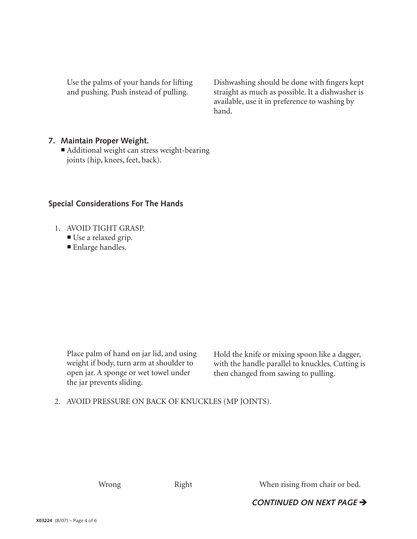Use the palms of your hands for lifting and pushing. Push instead of pulling.

Dishwashing should be done with fingers kept straight as much as possible. It a dishwasher is available, use it in preference to washing by hand.

#### **7. Maintain Proper Weight.**

 ¡ Additional weight can stress weight-bearing joints (hip, knees, feet, back).

#### **Special Considerations For The Hands**

- 1. AVOID TIGHT GRASP.
	- Use a relaxed grip.
	- **Enlarge handles.**

 Place palm of hand on jar lid, and using weight if body, turn arm at shoulder to open jar. A sponge or wet towel under the jar prevents sliding.

Hold the knife or mixing spoon like a dagger, with the handle parallel to knuckles. Cutting is then changed from sawing to pulling.

2. AVOID PRESSURE ON BACK OF KNUCKLES (MP JOINTS).

Wrong Right Right When rising from chair or bed.

**CONTINUED ON NEXT PAGE >**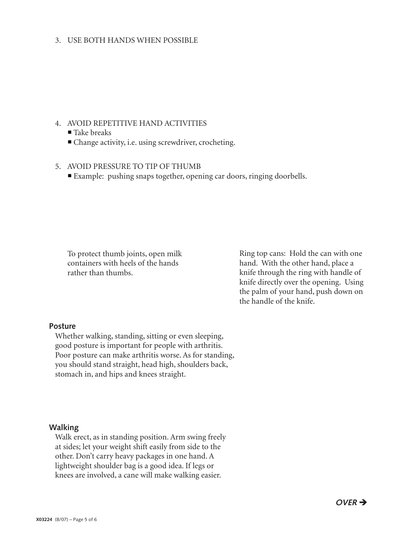#### 3. USE BOTH HANDS WHEN POSSIBLE

#### 4. AVOID REPETITIVE HAND ACTIVITIES

#### $\blacksquare$  Take breaks

■ Change activity, i.e. using screwdriver, crocheting.

#### 5. AVOID PRESSURE TO TIP OF THUMB

¡ Example: pushing snaps together, opening car doors, ringing doorbells.

 To protect thumb joints, open milk containers with heels of the hands rather than thumbs.

Ring top cans: Hold the can with one hand. With the other hand, place a knife through the ring with handle of knife directly over the opening. Using the palm of your hand, push down on the handle of the knife.

#### **Posture**

Whether walking, standing, sitting or even sleeping, good posture is important for people with arthritis. Poor posture can make arthritis worse. As for standing, you should stand straight, head high, shoulders back, stomach in, and hips and knees straight.

#### **Walking**

Walk erect, as in standing position. Arm swing freely at sides; let your weight shift easily from side to the other. Don't carry heavy packages in one hand. A lightweight shoulder bag is a good idea. If legs or knees are involved, a cane will make walking easier.